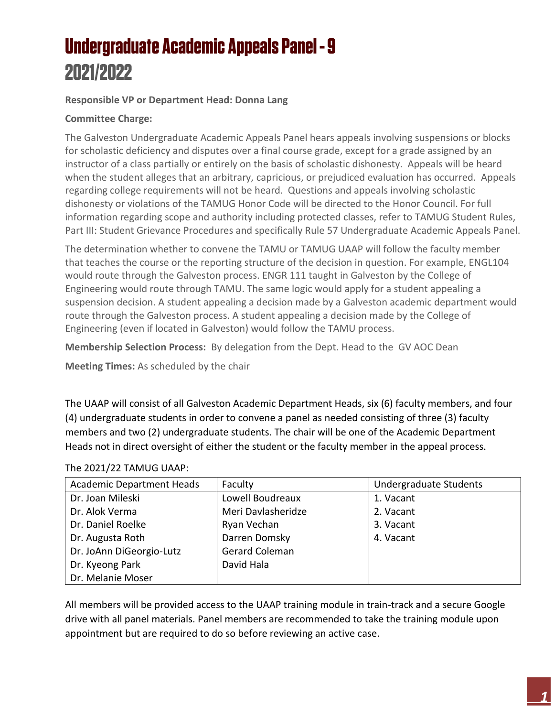# **Undergraduate Academic Appeals Panel - 9** 2021/2022

### **Responsible VP or Department Head: Donna Lang**

### **Committee Charge:**

The Galveston Undergraduate Academic Appeals Panel hears appeals involving suspensions or blocks for scholastic deficiency and disputes over a final course grade, except for a grade assigned by an instructor of a class partially or entirely on the basis of scholastic dishonesty. Appeals will be heard when the student alleges that an arbitrary, capricious, or prejudiced evaluation has occurred. Appeals regarding college requirements will not be heard. Questions and appeals involving scholastic dishonesty or violations of the TAMUG Honor Code will be directed to the Honor Council. For full information regarding scope and authority including protected classes, refer to TAMUG Student Rules, Part III: Student Grievance Procedures and specifically Rule 57 Undergraduate Academic Appeals Panel.

The determination whether to convene the TAMU or TAMUG UAAP will follow the faculty member that teaches the course or the reporting structure of the decision in question. For example, ENGL104 would route through the Galveston process. ENGR 111 taught in Galveston by the College of Engineering would route through TAMU. The same logic would apply for a student appealing a suspension decision. A student appealing a decision made by a Galveston academic department would route through the Galveston process. A student appealing a decision made by the College of Engineering (even if located in Galveston) would follow the TAMU process.

**Membership Selection Process:** By delegation from the Dept. Head to the GV AOC Dean

**Meeting Times:** As scheduled by the chair

The UAAP will consist of all Galveston Academic Department Heads, six (6) faculty members, and four (4) undergraduate students in order to convene a panel as needed consisting of three (3) faculty members and two (2) undergraduate students. The chair will be one of the Academic Department Heads not in direct oversight of either the student or the faculty member in the appeal process.

#### The 2021/22 TAMUG UAAP:

| <b>Academic Department Heads</b> | Faculty            | Undergraduate Students |
|----------------------------------|--------------------|------------------------|
| Dr. Joan Mileski                 | Lowell Boudreaux   | 1. Vacant              |
| Dr. Alok Verma                   | Meri Davlasheridze | 2. Vacant              |
| Dr. Daniel Roelke                | Ryan Vechan        | 3. Vacant              |
| Dr. Augusta Roth                 | Darren Domsky      | 4. Vacant              |
| Dr. JoAnn DiGeorgio-Lutz         | Gerard Coleman     |                        |
| Dr. Kyeong Park                  | David Hala         |                        |
| Dr. Melanie Moser                |                    |                        |

All members will be provided access to the UAAP training module in train-track and a secure Google drive with all panel materials. Panel members are recommended to take the training module upon appointment but are required to do so before reviewing an active case.